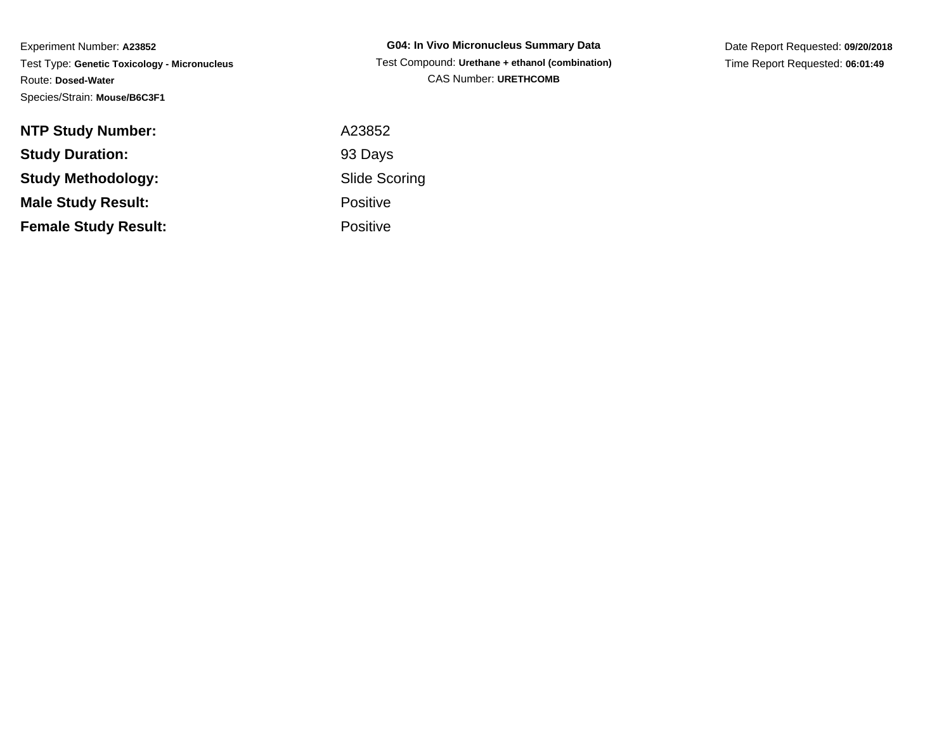**G04: In Vivo Micronucleus Summary Data** Test Compound: **Urethane + ethanol (combination)**CAS Number: **URETHCOMB**

Date Report Requested: **09/20/2018**Time Report Requested: **06:01:49**

| <b>NTP Study Number:</b>    | A23852               |
|-----------------------------|----------------------|
| <b>Study Duration:</b>      | 93 Days              |
| <b>Study Methodology:</b>   | <b>Slide Scoring</b> |
| <b>Male Study Result:</b>   | <b>Positive</b>      |
| <b>Female Study Result:</b> | <b>Positive</b>      |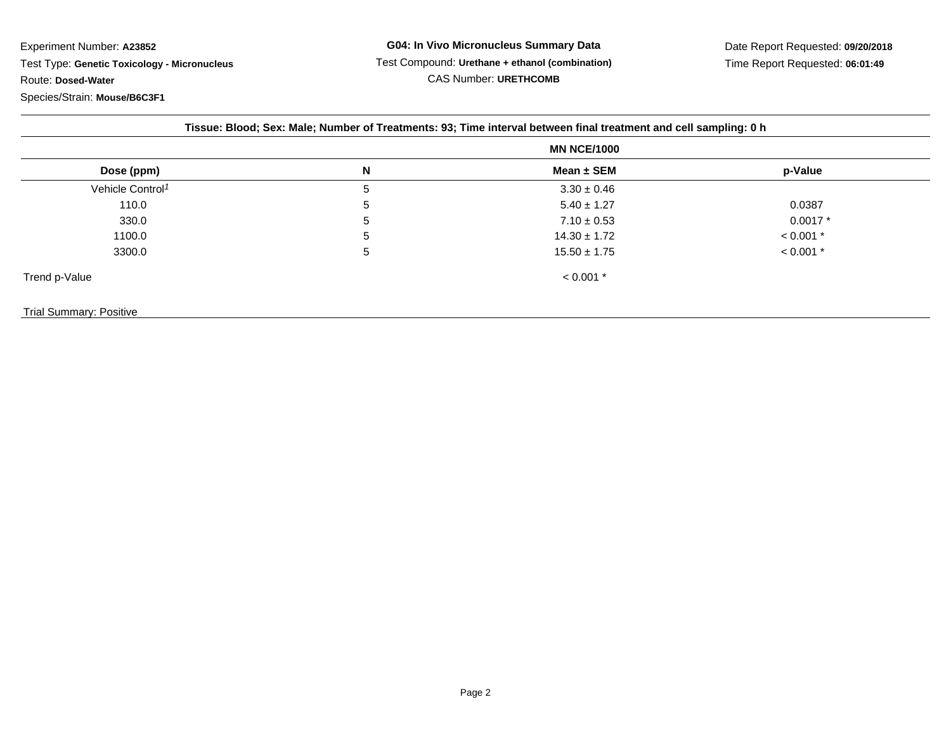| Tissue: Blood; Sex: Male; Number of Treatments: 93; Time interval between final treatment and cell sampling: 0 h |   |                  |             |  |  |
|------------------------------------------------------------------------------------------------------------------|---|------------------|-------------|--|--|
|                                                                                                                  |   |                  |             |  |  |
| Dose (ppm)                                                                                                       | N | Mean $\pm$ SEM   | p-Value     |  |  |
| Vehicle Control <sup>1</sup>                                                                                     | 5 | $3.30 \pm 0.46$  |             |  |  |
| 110.0                                                                                                            | 5 | $5.40 \pm 1.27$  | 0.0387      |  |  |
| 330.0                                                                                                            | 5 | $7.10 \pm 0.53$  | $0.0017*$   |  |  |
| 1100.0                                                                                                           | 5 | $14.30 \pm 1.72$ | $< 0.001$ * |  |  |
| 3300.0                                                                                                           | 5 | $15.50 \pm 1.75$ | $< 0.001$ * |  |  |
| Trend p-Value                                                                                                    |   | $< 0.001$ *      |             |  |  |
| <b>Trial Summary: Positive</b>                                                                                   |   |                  |             |  |  |

Page 2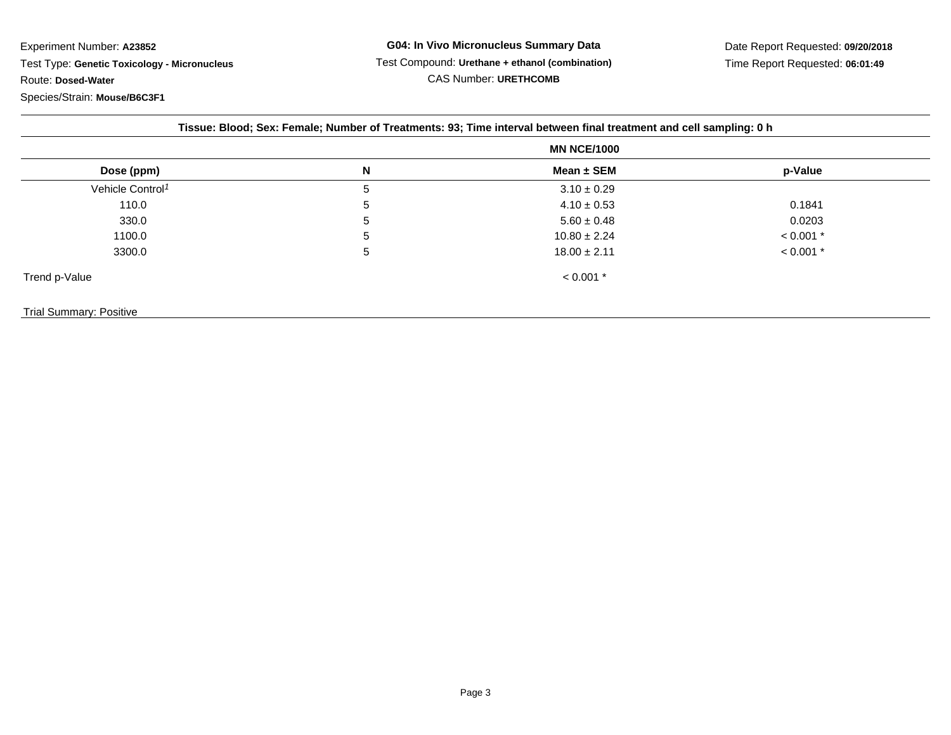| Tissue: Blood; Sex: Female; Number of Treatments: 93; Time interval between final treatment and cell sampling: 0 h |   |                  |             |  |  |
|--------------------------------------------------------------------------------------------------------------------|---|------------------|-------------|--|--|
|                                                                                                                    |   |                  |             |  |  |
| Dose (ppm)                                                                                                         | N | Mean ± SEM       | p-Value     |  |  |
| Vehicle Control <sup>1</sup>                                                                                       | 5 | $3.10 \pm 0.29$  |             |  |  |
| 110.0                                                                                                              | 5 | $4.10 \pm 0.53$  | 0.1841      |  |  |
| 330.0                                                                                                              | 5 | $5.60 \pm 0.48$  | 0.0203      |  |  |
| 1100.0                                                                                                             | 5 | $10.80 \pm 2.24$ | $< 0.001$ * |  |  |
| 3300.0                                                                                                             | 5 | $18.00 \pm 2.11$ | $< 0.001$ * |  |  |
| Trend p-Value                                                                                                      |   | $< 0.001$ *      |             |  |  |
| <b>Trial Summary: Positive</b>                                                                                     |   |                  |             |  |  |